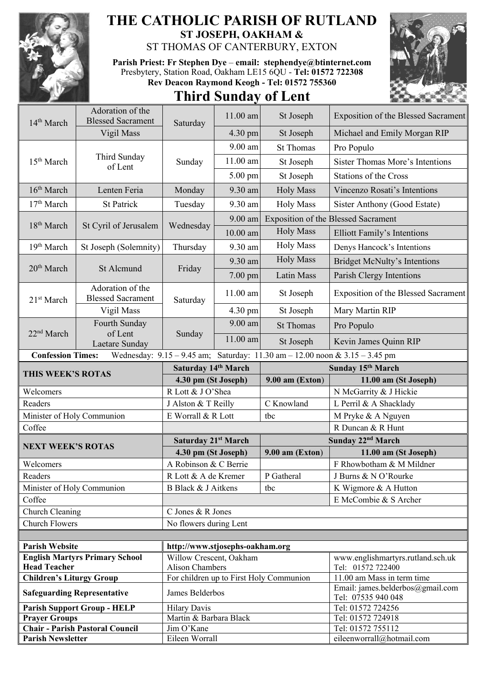

## **THE CATHOLIC PARISH OF RUTLAND ST JOSEPH, OAKHAM &**

ST THOMAS OF CANTERBURY, EXTON

**Parish Priest: Fr Stephen Dye** – **[email: stephendye@btinternet.com](mailto:email:%20%20stephendye@btinternet.com)** Presbytery, Station Road, Oakham LE15 6QU - **Tel: 01572 722308 Rev Deacon Raymond Keogh - Tel: 01572 755360**





| 14 <sup>th</sup> March          | Adoration of the<br><b>Blessed Sacrament</b> | Saturday                             | 11.00 am   | St Joseph                                                                   | Exposition of the Blessed Sacrament                    |  |
|---------------------------------|----------------------------------------------|--------------------------------------|------------|-----------------------------------------------------------------------------|--------------------------------------------------------|--|
|                                 | Vigil Mass                                   |                                      | 4.30 pm    | St Joseph                                                                   | Michael and Emily Morgan RIP                           |  |
| 15 <sup>th</sup> March          | Third Sunday<br>of Lent                      | Sunday                               | 9.00 am    | <b>St Thomas</b>                                                            | Pro Populo                                             |  |
|                                 |                                              |                                      | $11.00$ am | St Joseph                                                                   | <b>Sister Thomas More's Intentions</b>                 |  |
|                                 |                                              |                                      | 5.00 pm    | St Joseph                                                                   | Stations of the Cross                                  |  |
| 16 <sup>th</sup> March          |                                              |                                      |            |                                                                             |                                                        |  |
|                                 | Lenten Feria                                 | Monday                               | 9.30 am    | <b>Holy Mass</b>                                                            | Vincenzo Rosati's Intentions                           |  |
| 17 <sup>th</sup> March          | <b>St Patrick</b>                            | Tuesday                              | 9.30 am    | <b>Holy Mass</b>                                                            | Sister Anthony (Good Estate)                           |  |
| 18 <sup>th</sup> March          | St Cyril of Jerusalem                        | Wednesday                            | 9.00 am    |                                                                             | Exposition of the Blessed Sacrament                    |  |
|                                 |                                              |                                      | 10.00 am   | <b>Holy Mass</b>                                                            | <b>Elliott Family's Intentions</b>                     |  |
| 19 <sup>th</sup> March          | St Joseph (Solemnity)                        | Thursday                             | 9.30 am    | <b>Holy Mass</b>                                                            | Denys Hancock's Intentions                             |  |
|                                 | St Alcmund                                   | Friday                               | 9.30 am    | <b>Holy Mass</b>                                                            | <b>Bridget McNulty's Intentions</b>                    |  |
| 20 <sup>th</sup> March          |                                              |                                      | 7.00 pm    | Latin Mass                                                                  | Parish Clergy Intentions                               |  |
| 21 <sup>st</sup> March          | Adoration of the<br><b>Blessed Sacrament</b> | Saturday                             | $11.00$ am | St Joseph                                                                   | Exposition of the Blessed Sacrament                    |  |
|                                 | Vigil Mass                                   |                                      | 4.30 pm    | St Joseph                                                                   | Mary Martin RIP                                        |  |
|                                 | Fourth Sunday                                | Sunday                               | 9.00 am    | <b>St Thomas</b>                                                            | Pro Populo                                             |  |
| 22 <sup>nd</sup> March          | of Lent<br>Laetare Sunday                    |                                      | 11.00 am   | St Joseph                                                                   | Kevin James Quinn RIP                                  |  |
| <b>Confession Times:</b>        |                                              |                                      |            | Wednesday: 9.15 - 9.45 am; Saturday: 11.30 am - 12.00 noon & 3.15 - 3.45 pm |                                                        |  |
|                                 |                                              |                                      |            |                                                                             |                                                        |  |
|                                 |                                              | Saturday 14th March                  |            |                                                                             | Sunday 15th March                                      |  |
| THIS WEEK'S ROTAS               |                                              | 4.30 pm (St Joseph)                  |            | $9.00$ am (Exton)                                                           | 11.00 am (St Joseph)                                   |  |
| Welcomers                       |                                              | R Lott & J O'Shea                    |            |                                                                             | N McGarrity & J Hickie                                 |  |
| Readers                         |                                              | J Alston & T Reilly                  |            | C Knowland                                                                  | L Perril & A Shacklady                                 |  |
| Minister of Holy Communion      |                                              | E Worrall & R Lott                   |            | tbc                                                                         | M Pryke & A Nguyen                                     |  |
| Coffee                          |                                              |                                      |            |                                                                             | R Duncan & R Hunt                                      |  |
| <b>NEXT WEEK'S ROTAS</b>        |                                              | Saturday 21st March                  |            |                                                                             | Sunday 22 <sup>nd</sup> March                          |  |
|                                 |                                              | 4.30 pm (St Joseph)                  |            | $9.00$ am (Exton)                                                           | 11.00 am (St Joseph)                                   |  |
| Welcomers                       |                                              | A Robinson & C Berrie                |            |                                                                             | F Rhowbotham & M Mildner                               |  |
| Readers                         |                                              | R Lott & A de Kremer                 |            | P Gatheral                                                                  | J Burns & N O'Rourke                                   |  |
| Minister of Holy Communion      |                                              | B Black & J Aitkens                  |            | tbc                                                                         | K Wigmore & A Hutton                                   |  |
| Coffee                          |                                              |                                      |            |                                                                             | E McCombie & S Archer                                  |  |
| Church Cleaning                 |                                              | C Jones & R Jones                    |            |                                                                             |                                                        |  |
| <b>Church Flowers</b>           |                                              | No flowers during Lent               |            |                                                                             |                                                        |  |
| <b>Parish Website</b>           |                                              | http://www.stjosephs-oakham.org      |            |                                                                             |                                                        |  |
|                                 | <b>English Martyrs Primary School</b>        | Willow Crescent, Oakham              |            |                                                                             | www.englishmartyrs.rutland.sch.uk                      |  |
| <b>Head Teacher</b>             |                                              | <b>Alison Chambers</b>               |            |                                                                             | Tel: 01572 722400                                      |  |
| <b>Children's Liturgy Group</b> |                                              |                                      |            | For children up to First Holy Communion                                     | 11.00 am Mass in term time                             |  |
|                                 | <b>Safeguarding Representative</b>           | James Belderbos                      |            |                                                                             | Email: james.belderbos@gmail.com<br>Tel: 07535 940 048 |  |
|                                 | <b>Parish Support Group - HELP</b>           | <b>Hilary Davis</b>                  |            |                                                                             | Tel: 01572 724256                                      |  |
| <b>Prayer Groups</b>            | <b>Chair - Parish Pastoral Council</b>       | Martin & Barbara Black<br>Jim O'Kane |            |                                                                             | Tel: 01572 724918<br>Tel: 01572 755112                 |  |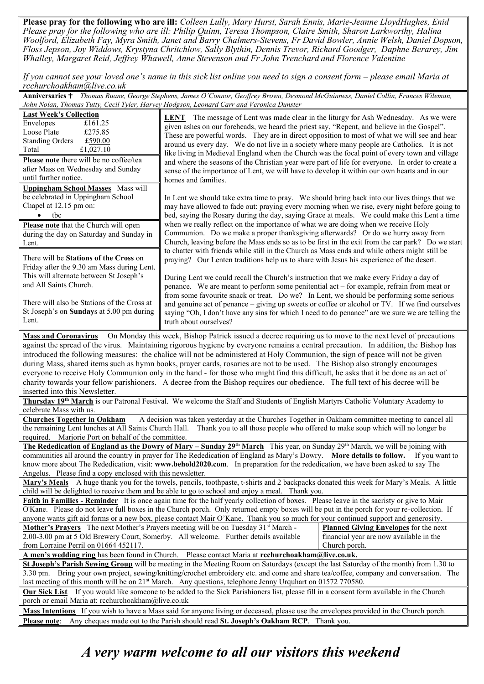**Please pray for the following who are ill:** *Colleen Lully, Mary Hurst, Sarah Ennis, Marie-Jeanne LloydHughes, Enid Please pray for the following who are ill: Philip Quinn, Teresa Thompson, Claire Smith, Sharon Larkworthy, Halina Woolford, Elizabeth Fay, Myra Smith, Janet and Barry Chalmers-Stevens, Fr David Bowler, Annie Welsh, Daniel Dopson, Floss Jepson, Joy Widdows, Krystyna Chritchlow, Sally Blythin, Dennis Trevor, Richard Goodger, Daphne Berarey, Jim Whalley, Margaret Reid, Jeffrey Whawell, Anne Stevenson and Fr John Trenchard and Florence Valentine*

*If you cannot see your loved one's name in this sick list online you need to sign a consent form – please email Maria at rcchurchoakham@live.co.uk*

Anniversaries <sup>†</sup> Thomas Ruane, George Stephens, James O'Connor, Geoffrey Brown, Desmond McGuinness, Daniel Collin, Frances Wileman, *John Nolan, Thomas Tutty, Cecil Tyler, Harvey Hodgson, Leonard Carr and Veronica Dunster*

| <b>Last Week's Collection</b><br>Envelopes<br>£161.25<br>Loose Plate<br>£275.85<br><b>Standing Orders</b><br>£590.00<br>£1,027.10<br>Total<br>Please note there will be no coffee/tea<br>after Mass on Wednesday and Sunday<br>until further notice.<br><b>Uppingham School Masses</b> Mass will                                                                                                                                                                                                                                                                                                                                                                                                                                                                                                                                                             | The message of Lent was made clear in the liturgy for Ash Wednesday. As we were<br><b>LENT</b><br>given ashes on our foreheads, we heard the priest say, "Repent, and believe in the Gospel".<br>These are powerful words. They are in direct opposition to most of what we will see and hear<br>around us every day. We do not live in a society where many people are Catholics. It is not<br>like living in Medieval England when the Church was the focal point of every town and village<br>and where the seasons of the Christian year were part of life for everyone. In order to create a<br>sense of the importance of Lent, we will have to develop it within our own hearts and in our<br>homes and families.                                                                                                                                                                                                                                            |  |  |  |  |  |
|--------------------------------------------------------------------------------------------------------------------------------------------------------------------------------------------------------------------------------------------------------------------------------------------------------------------------------------------------------------------------------------------------------------------------------------------------------------------------------------------------------------------------------------------------------------------------------------------------------------------------------------------------------------------------------------------------------------------------------------------------------------------------------------------------------------------------------------------------------------|---------------------------------------------------------------------------------------------------------------------------------------------------------------------------------------------------------------------------------------------------------------------------------------------------------------------------------------------------------------------------------------------------------------------------------------------------------------------------------------------------------------------------------------------------------------------------------------------------------------------------------------------------------------------------------------------------------------------------------------------------------------------------------------------------------------------------------------------------------------------------------------------------------------------------------------------------------------------|--|--|--|--|--|
| be celebrated in Uppingham School<br>Chapel at 12.15 pm on:<br>tbc<br>Please note that the Church will open<br>during the day on Saturday and Sunday in<br>Lent.<br>There will be <b>Stations of the Cross</b> on<br>Friday after the 9.30 am Mass during Lent.<br>This will alternate between St Joseph's<br>and All Saints Church.                                                                                                                                                                                                                                                                                                                                                                                                                                                                                                                         | In Lent we should take extra time to pray. We should bring back into our lives things that we<br>may have allowed to fade out: praying every morning when we rise, every night before going to<br>bed, saying the Rosary during the day, saying Grace at meals. We could make this Lent a time<br>when we really reflect on the importance of what we are doing when we receive Holy<br>Communion. Do we make a proper thanksgiving afterwards? Or do we hurry away from<br>Church, leaving before the Mass ends so as to be first in the exit from the car park? Do we start<br>to chatter with friends while still in the Church as Mass ends and while others might still be<br>praying? Our Lenten traditions help us to share with Jesus his experience of the desert.<br>During Lent we could recall the Church's instruction that we make every Friday a day of<br>penance. We are meant to perform some penitential act – for example, refrain from meat or |  |  |  |  |  |
| There will also be Stations of the Cross at<br>St Joseph's on Sundays at 5.00 pm during<br>Lent.                                                                                                                                                                                                                                                                                                                                                                                                                                                                                                                                                                                                                                                                                                                                                             | from some favourite snack or treat. Do we? In Lent, we should be performing some serious<br>and genuine act of penance – giving up sweets or coffee or alcohol or TV. If we find ourselves<br>saying "Oh, I don't have any sins for which I need to do penance" are we sure we are telling the<br>truth about ourselves?                                                                                                                                                                                                                                                                                                                                                                                                                                                                                                                                                                                                                                            |  |  |  |  |  |
| On Monday this week, Bishop Patrick issued a decree requiring us to move to the next level of precautions<br><b>Mass and Coronavirus</b><br>against the spread of the virus. Maintaining rigorous hygiene by everyone remains a central precaution. In addition, the Bishop has<br>introduced the following measures: the chalice will not be administered at Holy Communion, the sign of peace will not be given<br>during Mass, shared items such as hymn books, prayer cards, rosaries are not to be used. The Bishop also strongly encourages<br>everyone to receive Holy Communion only in the hand - for those who might find this difficult, he asks that it be done as an act of<br>charity towards your fellow parishioners. A decree from the Bishop requires our obedience. The full text of his decree will be<br>inserted into this Newsletter. |                                                                                                                                                                                                                                                                                                                                                                                                                                                                                                                                                                                                                                                                                                                                                                                                                                                                                                                                                                     |  |  |  |  |  |
| celebrate Mass with us.                                                                                                                                                                                                                                                                                                                                                                                                                                                                                                                                                                                                                                                                                                                                                                                                                                      | Thursday 19th March is our Patronal Festival. We welcome the Staff and Students of English Martyrs Catholic Voluntary Academy to                                                                                                                                                                                                                                                                                                                                                                                                                                                                                                                                                                                                                                                                                                                                                                                                                                    |  |  |  |  |  |
| <b>Churches Together in Oakham</b><br>required. Marjorie Port on behalf of the committee.                                                                                                                                                                                                                                                                                                                                                                                                                                                                                                                                                                                                                                                                                                                                                                    | A decision was taken yesterday at the Churches Together in Oakham committee meeting to cancel all<br>the remaining Lent lunches at All Saints Church Hall. Thank you to all those people who offered to make soup which will no longer be                                                                                                                                                                                                                                                                                                                                                                                                                                                                                                                                                                                                                                                                                                                           |  |  |  |  |  |
| Angelus. Please find a copy enclosed with this newsletter.                                                                                                                                                                                                                                                                                                                                                                                                                                                                                                                                                                                                                                                                                                                                                                                                   | The Rededication of England as the Dowry of Mary - Sunday 29 <sup>th</sup> March This year, on Sunday 29 <sup>th</sup> March, we will be joining with<br>communities all around the country in prayer for The Rededication of England as Mary's Dowry. More details to follow. If you want to<br>know more about The Rededication, visit: www.behold2020.com. In preparation for the rededication, we have been asked to say The                                                                                                                                                                                                                                                                                                                                                                                                                                                                                                                                    |  |  |  |  |  |
| Mary's Meals A huge thank you for the towels, pencils, toothpaste, t-shirts and 2 backpacks donated this week for Mary's Meals. A little<br>child will be delighted to receive them and be able to go to school and enjoy a meal. Thank you.                                                                                                                                                                                                                                                                                                                                                                                                                                                                                                                                                                                                                 |                                                                                                                                                                                                                                                                                                                                                                                                                                                                                                                                                                                                                                                                                                                                                                                                                                                                                                                                                                     |  |  |  |  |  |
| Faith in Families - Reminder It is once again time for the half yearly collection of boxes. Please leave in the sacristy or give to Mair<br>O'Kane. Please do not leave full boxes in the Church porch. Only returned empty boxes will be put in the porch for your re-collection. If<br>anyone wants gift aid forms or a new box, please contact Mair O'Kane. Thank you so much for your continued support and generosity.                                                                                                                                                                                                                                                                                                                                                                                                                                  |                                                                                                                                                                                                                                                                                                                                                                                                                                                                                                                                                                                                                                                                                                                                                                                                                                                                                                                                                                     |  |  |  |  |  |
| <b>Mother's Prayers</b> The next Mother's Prayers meeting will be on Tuesday 31 <sup>st</sup> March -<br><b>Planned Giving Envelopes</b> for the next<br>2.00-3.00 pm at 5 Old Brewery Court, Somerby. All welcome. Further details available<br>financial year are now available in the<br>from Lorraine Perril on 01664 452117.<br>Church porch.                                                                                                                                                                                                                                                                                                                                                                                                                                                                                                           |                                                                                                                                                                                                                                                                                                                                                                                                                                                                                                                                                                                                                                                                                                                                                                                                                                                                                                                                                                     |  |  |  |  |  |
|                                                                                                                                                                                                                                                                                                                                                                                                                                                                                                                                                                                                                                                                                                                                                                                                                                                              | A men's wedding ring has been found in Church. Please contact Maria at rechurchoakham@live.co.uk.                                                                                                                                                                                                                                                                                                                                                                                                                                                                                                                                                                                                                                                                                                                                                                                                                                                                   |  |  |  |  |  |
| St Joseph's Parish Sewing Group will be meeting in the Meeting Room on Saturdays (except the last Saturday of the month) from 1.30 to<br>3.30 pm. Bring your own project, sewing/knitting/crochet embroidery etc. and come and share tea/coffee, company and conversation. The<br>last meeting of this month will be on $21^{st}$ March. Any questions, telephone Jenny Urquhart on 01572 770580.                                                                                                                                                                                                                                                                                                                                                                                                                                                            |                                                                                                                                                                                                                                                                                                                                                                                                                                                                                                                                                                                                                                                                                                                                                                                                                                                                                                                                                                     |  |  |  |  |  |
| <b>Our Sick List</b> If you would like someone to be added to the Sick Parishioners list, please fill in a consent form available in the Church<br>porch or email Maria at: rcchurchoakham@live.co.uk                                                                                                                                                                                                                                                                                                                                                                                                                                                                                                                                                                                                                                                        |                                                                                                                                                                                                                                                                                                                                                                                                                                                                                                                                                                                                                                                                                                                                                                                                                                                                                                                                                                     |  |  |  |  |  |
|                                                                                                                                                                                                                                                                                                                                                                                                                                                                                                                                                                                                                                                                                                                                                                                                                                                              | Mass Intentions If you wish to have a Mass said for anyone living or deceased, please use the envelopes provided in the Church porch.                                                                                                                                                                                                                                                                                                                                                                                                                                                                                                                                                                                                                                                                                                                                                                                                                               |  |  |  |  |  |
| <b>Please note:</b>                                                                                                                                                                                                                                                                                                                                                                                                                                                                                                                                                                                                                                                                                                                                                                                                                                          | Any cheques made out to the Parish should read St. Joseph's Oakham RCP. Thank you.                                                                                                                                                                                                                                                                                                                                                                                                                                                                                                                                                                                                                                                                                                                                                                                                                                                                                  |  |  |  |  |  |

## *A very warm welcome to all our visitors this weekend*